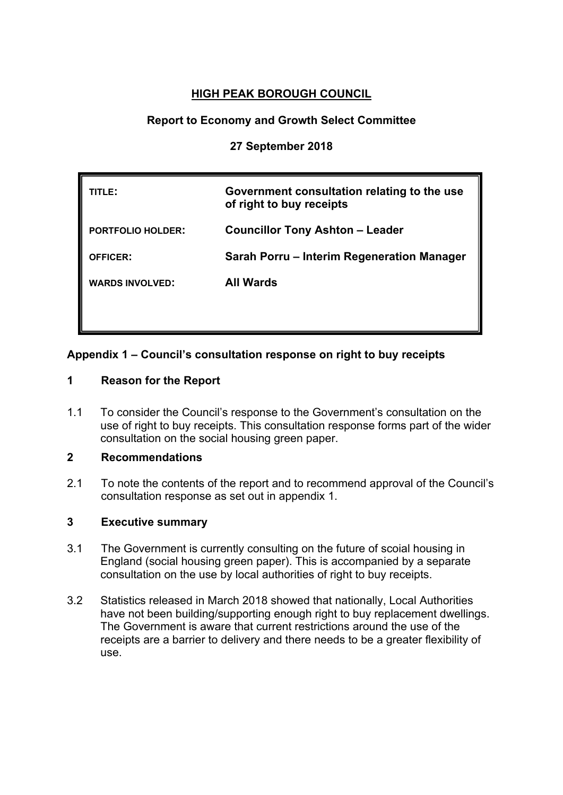# **HIGH PEAK BOROUGH COUNCIL**

# **Report to Economy and Growth Select Committee**

#### **27 September 2018**

| TLE:                     | Government consultation relating to the use<br>of right to buy receipts |  |
|--------------------------|-------------------------------------------------------------------------|--|
| <b>PORTFOLIO HOLDER:</b> | <b>Councillor Tony Ashton - Leader</b>                                  |  |
| <b>OFFICER:</b>          | Sarah Porru – Interim Regeneration Manager                              |  |
| <b>WARDS INVOLVED:</b>   | <b>All Wards</b>                                                        |  |
|                          |                                                                         |  |

### **Appendix 1 – Council's consultation response on right to buy receipts**

### **1 Reason for the Report**

1.1 To consider the Council's response to the Government's consultation on the use of right to buy receipts. This consultation response forms part of the wider consultation on the social housing green paper.

#### **2 Recommendations**

2.1 To note the contents of the report and to recommend approval of the Council's consultation response as set out in appendix 1.

### **3 Executive summary**

- 3.1 The Government is currently consulting on the future of scoial housing in England (social housing green paper). This is accompanied by a separate consultation on the use by local authorities of right to buy receipts.
- 3.2 Statistics released in March 2018 showed that nationally, Local Authorities have not been building/supporting enough right to buy replacement dwellings. The Government is aware that current restrictions around the use of the receipts are a barrier to delivery and there needs to be a greater flexibility of use.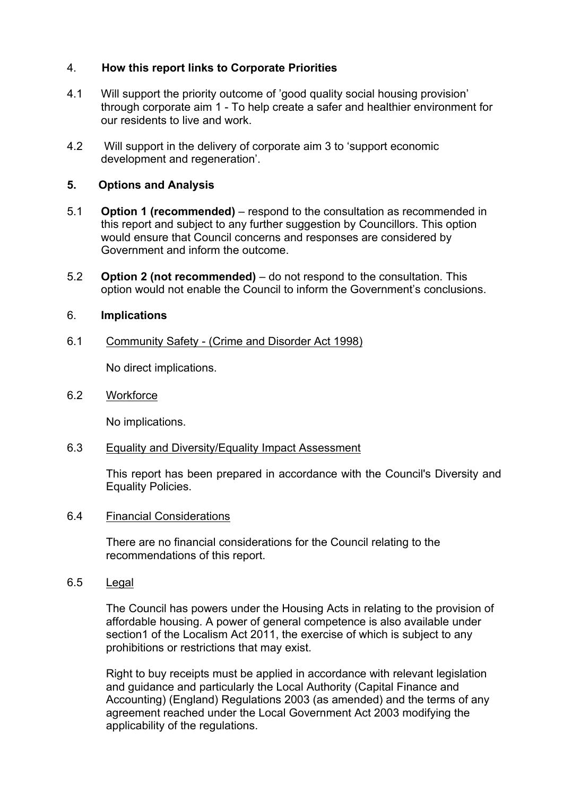### 4. **How this report links to Corporate Priorities**

- 4.1 Will support the priority outcome of 'good quality social housing provision' through corporate aim 1 - To help create a safer and healthier environment for our residents to live and work.
- 4.2 Will support in the delivery of corporate aim 3 to 'support economic development and regeneration'.

#### **5. Options and Analysis**

- 5.1 **Option 1 (recommended)** respond to the consultation as recommended in this report and subject to any further suggestion by Councillors. This option would ensure that Council concerns and responses are considered by Government and inform the outcome.
- 5.2 **Option 2 (not recommended)** do not respond to the consultation. This option would not enable the Council to inform the Government's conclusions.

#### 6. **Implications**

6.1 Community Safety - (Crime and Disorder Act 1998)

No direct implications.

6.2 Workforce

No implications.

6.3 Equality and Diversity/Equality Impact Assessment

This report has been prepared in accordance with the Council's Diversity and Equality Policies.

6.4 Financial Considerations

There are no financial considerations for the Council relating to the recommendations of this report.

6.5 Legal

The Council has powers under the Housing Acts in relating to the provision of affordable housing. A power of general competence is also available under section1 of the Localism Act 2011, the exercise of which is subject to any prohibitions or restrictions that may exist.

Right to buy receipts must be applied in accordance with relevant legislation and guidance and particularly the Local Authority (Capital Finance and Accounting) (England) Regulations 2003 (as amended) and the terms of any agreement reached under the Local Government Act 2003 modifying the applicability of the regulations.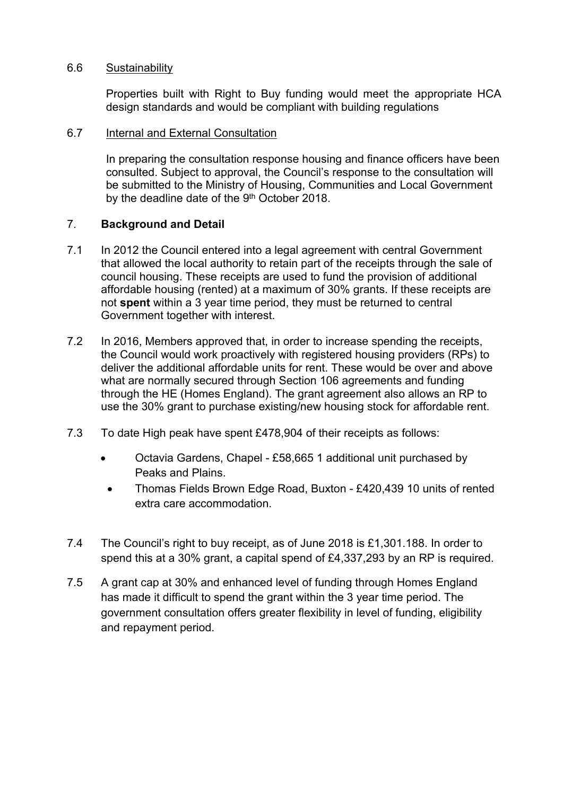#### 6.6 Sustainability

Properties built with Right to Buy funding would meet the appropriate HCA design standards and would be compliant with building regulations

#### 6.7 Internal and External Consultation

In preparing the consultation response housing and finance officers have been consulted. Subject to approval, the Council's response to the consultation will be submitted to the Ministry of Housing, Communities and Local Government by the deadline date of the 9<sup>th</sup> October 2018.

### 7. **Background and Detail**

- 7.1 In 2012 the Council entered into a legal agreement with central Government that allowed the local authority to retain part of the receipts through the sale of council housing. These receipts are used to fund the provision of additional affordable housing (rented) at a maximum of 30% grants. If these receipts are not **spent** within a 3 year time period, they must be returned to central Government together with interest.
- 7.2 In 2016, Members approved that, in order to increase spending the receipts, the Council would work proactively with registered housing providers (RPs) to deliver the additional affordable units for rent. These would be over and above what are normally secured through Section 106 agreements and funding through the HE (Homes England). The grant agreement also allows an RP to use the 30% grant to purchase existing/new housing stock for affordable rent.
- 7.3 To date High peak have spent £478,904 of their receipts as follows:
	- Octavia Gardens, Chapel £58,665 1 additional unit purchased by Peaks and Plains.
	- Thomas Fields Brown Edge Road, Buxton £420,439 10 units of rented extra care accommodation.
- 7.4 The Council's right to buy receipt, as of June 2018 is £1,301.188. In order to spend this at a 30% grant, a capital spend of £4,337,293 by an RP is required.
- 7.5 A grant cap at 30% and enhanced level of funding through Homes England has made it difficult to spend the grant within the 3 year time period. The government consultation offers greater flexibility in level of funding, eligibility and repayment period.